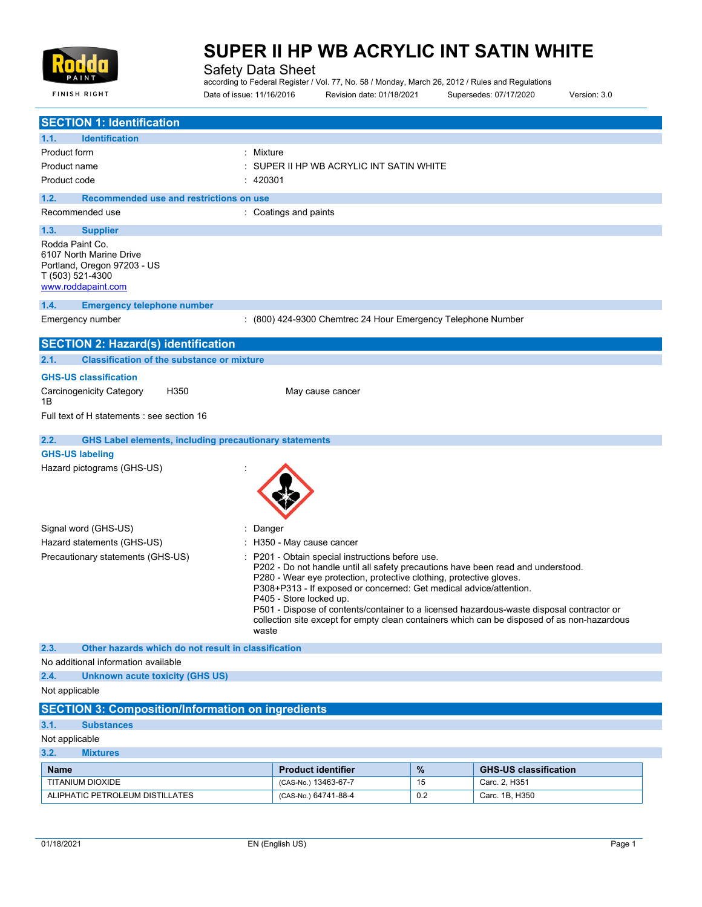

**FINISH RIGHT** 

# **SUPER II HP WB ACRYLIC INT SATIN WHITE**

Safety Data Sheet

according to Federal Register / Vol. 77, No. 58 / Monday, March 26, 2012 / Rules and Regulations Date of issue: 11/16/2016 Revision date: 01/18/2021 Supersedes: 07/17/2020 Version: 3.0

| <b>SECTION 1: Identification</b>                                                                                                                                                                                                                                                                                                                                                                                                                                                                                                                       |                                                              |      |                              |
|--------------------------------------------------------------------------------------------------------------------------------------------------------------------------------------------------------------------------------------------------------------------------------------------------------------------------------------------------------------------------------------------------------------------------------------------------------------------------------------------------------------------------------------------------------|--------------------------------------------------------------|------|------------------------------|
| 1.1.<br><b>Identification</b>                                                                                                                                                                                                                                                                                                                                                                                                                                                                                                                          |                                                              |      |                              |
| Product form<br>: Mixture                                                                                                                                                                                                                                                                                                                                                                                                                                                                                                                              |                                                              |      |                              |
| Product name                                                                                                                                                                                                                                                                                                                                                                                                                                                                                                                                           | SUPER II HP WB ACRYLIC INT SATIN WHITE                       |      |                              |
| Product code<br>: 420301                                                                                                                                                                                                                                                                                                                                                                                                                                                                                                                               |                                                              |      |                              |
| 1.2.<br>Recommended use and restrictions on use                                                                                                                                                                                                                                                                                                                                                                                                                                                                                                        |                                                              |      |                              |
| Recommended use                                                                                                                                                                                                                                                                                                                                                                                                                                                                                                                                        | : Coatings and paints                                        |      |                              |
| 1.3.<br><b>Supplier</b>                                                                                                                                                                                                                                                                                                                                                                                                                                                                                                                                |                                                              |      |                              |
| Rodda Paint Co.<br>6107 North Marine Drive<br>Portland, Oregon 97203 - US<br>T (503) 521-4300<br>www.roddapaint.com                                                                                                                                                                                                                                                                                                                                                                                                                                    |                                                              |      |                              |
| 1.4.<br><b>Emergency telephone number</b>                                                                                                                                                                                                                                                                                                                                                                                                                                                                                                              |                                                              |      |                              |
| Emergency number                                                                                                                                                                                                                                                                                                                                                                                                                                                                                                                                       | : (800) 424-9300 Chemtrec 24 Hour Emergency Telephone Number |      |                              |
| <b>SECTION 2: Hazard(s) identification</b>                                                                                                                                                                                                                                                                                                                                                                                                                                                                                                             |                                                              |      |                              |
| <b>Classification of the substance or mixture</b><br>2.1.                                                                                                                                                                                                                                                                                                                                                                                                                                                                                              |                                                              |      |                              |
| <b>GHS-US classification</b><br>Carcinogenicity Category<br>H350                                                                                                                                                                                                                                                                                                                                                                                                                                                                                       | May cause cancer                                             |      |                              |
| 1B                                                                                                                                                                                                                                                                                                                                                                                                                                                                                                                                                     |                                                              |      |                              |
| Full text of H statements : see section 16                                                                                                                                                                                                                                                                                                                                                                                                                                                                                                             |                                                              |      |                              |
| 2.2.<br><b>GHS Label elements, including precautionary statements</b>                                                                                                                                                                                                                                                                                                                                                                                                                                                                                  |                                                              |      |                              |
| <b>GHS-US labeling</b>                                                                                                                                                                                                                                                                                                                                                                                                                                                                                                                                 |                                                              |      |                              |
| Hazard pictograms (GHS-US)                                                                                                                                                                                                                                                                                                                                                                                                                                                                                                                             |                                                              |      |                              |
| Signal word (GHS-US)<br>: Danger                                                                                                                                                                                                                                                                                                                                                                                                                                                                                                                       |                                                              |      |                              |
| Hazard statements (GHS-US)                                                                                                                                                                                                                                                                                                                                                                                                                                                                                                                             | : H350 - May cause cancer                                    |      |                              |
| Precautionary statements (GHS-US)<br>: P201 - Obtain special instructions before use.<br>P202 - Do not handle until all safety precautions have been read and understood.<br>P280 - Wear eye protection, protective clothing, protective gloves.<br>P308+P313 - If exposed or concerned: Get medical advice/attention.<br>P405 - Store locked up.<br>P501 - Dispose of contents/container to a licensed hazardous-waste disposal contractor or<br>collection site except for empty clean containers which can be disposed of as non-hazardous<br>waste |                                                              |      |                              |
| 2.3.<br>Other hazards which do not result in classification                                                                                                                                                                                                                                                                                                                                                                                                                                                                                            |                                                              |      |                              |
| No additional information available                                                                                                                                                                                                                                                                                                                                                                                                                                                                                                                    |                                                              |      |                              |
| 2.4.<br>Unknown acute toxicity (GHS US)                                                                                                                                                                                                                                                                                                                                                                                                                                                                                                                |                                                              |      |                              |
| Not applicable                                                                                                                                                                                                                                                                                                                                                                                                                                                                                                                                         |                                                              |      |                              |
| <b>SECTION 3: Composition/Information on ingredients</b>                                                                                                                                                                                                                                                                                                                                                                                                                                                                                               |                                                              |      |                              |
| 3.1.<br><b>Substances</b>                                                                                                                                                                                                                                                                                                                                                                                                                                                                                                                              |                                                              |      |                              |
| Not applicable<br>3.2.<br><b>Mixtures</b>                                                                                                                                                                                                                                                                                                                                                                                                                                                                                                              |                                                              |      |                              |
| <b>Name</b>                                                                                                                                                                                                                                                                                                                                                                                                                                                                                                                                            | <b>Product identifier</b>                                    | $\%$ | <b>GHS-US classification</b> |
| TITANIUM DIOXIDE                                                                                                                                                                                                                                                                                                                                                                                                                                                                                                                                       | (CAS-No.) 13463-67-7                                         | 15   | Carc. 2, H351                |
| ALIPHATIC PETROLEUM DISTILLATES                                                                                                                                                                                                                                                                                                                                                                                                                                                                                                                        | (CAS-No.) 64741-88-4                                         | 0.2  | Carc. 1B, H350               |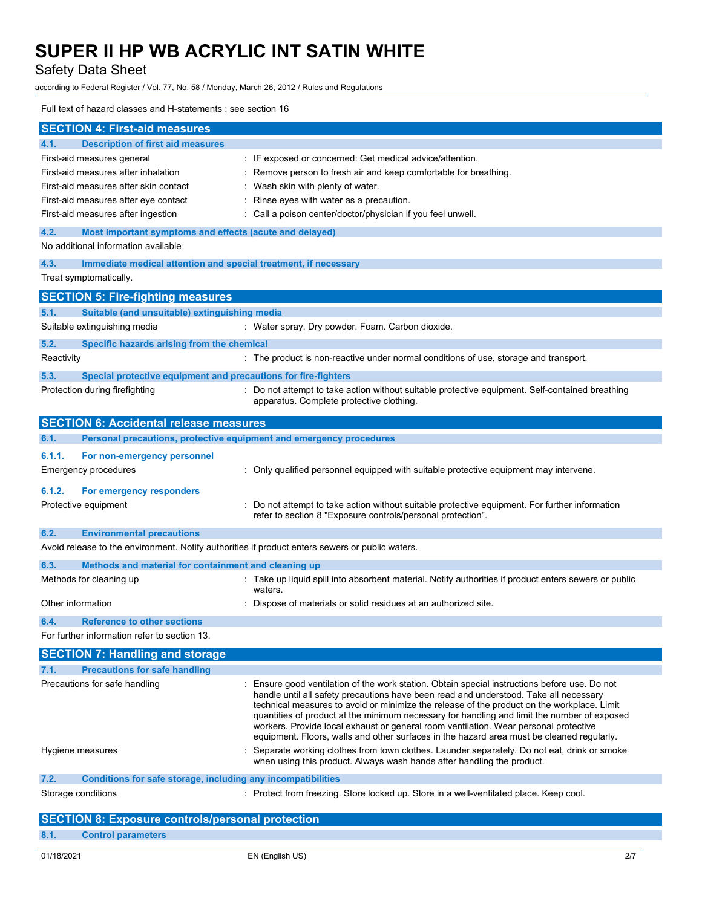Safety Data Sheet

according to Federal Register / Vol. 77, No. 58 / Monday, March 26, 2012 / Rules and Regulations

### Full text of hazard classes and H-statements : see section 16

| <b>Description of first aid measures</b><br>4.1.<br>: IF exposed or concerned: Get medical advice/attention.<br>First-aid measures general<br>First-aid measures after inhalation<br>: Remove person to fresh air and keep comfortable for breathing.<br>First-aid measures after skin contact<br>: Wash skin with plenty of water.<br>First-aid measures after eye contact<br>: Rinse eyes with water as a precaution.<br>: Call a poison center/doctor/physician if you feel unwell.<br>First-aid measures after ingestion<br>4.2.<br>Most important symptoms and effects (acute and delayed)<br>No additional information available<br>4.3.<br>Immediate medical attention and special treatment, if necessary<br>Treat symptomatically.<br><b>SECTION 5: Fire-fighting measures</b><br>Suitable (and unsuitable) extinguishing media<br>5.1.<br>Suitable extinguishing media<br>: Water spray. Dry powder. Foam. Carbon dioxide.<br>5.2.<br>Specific hazards arising from the chemical<br>: The product is non-reactive under normal conditions of use, storage and transport.<br>Reactivity<br>5.3.<br>Special protective equipment and precautions for fire-fighters<br>: Do not attempt to take action without suitable protective equipment. Self-contained breathing<br>Protection during firefighting<br>apparatus. Complete protective clothing.<br><b>SECTION 6: Accidental release measures</b><br>6.1.<br>Personal precautions, protective equipment and emergency procedures<br>6.1.1.<br>For non-emergency personnel<br>Emergency procedures<br>: Only qualified personnel equipped with suitable protective equipment may intervene.<br>6.1.2.<br>For emergency responders<br>Protective equipment<br>: Do not attempt to take action without suitable protective equipment. For further information<br>refer to section 8 "Exposure controls/personal protection".<br>6.2.<br><b>Environmental precautions</b><br>Avoid release to the environment. Notify authorities if product enters sewers or public waters.<br>6.3.<br>Methods and material for containment and cleaning up<br>: Take up liquid spill into absorbent material. Notify authorities if product enters sewers or public<br>Methods for cleaning up<br>waters.<br>Other information<br>Dispose of materials or solid residues at an authorized site.<br><b>Reference to other sections</b><br>6.4.<br>For further information refer to section 13.<br><b>SECTION 7: Handling and storage</b><br><b>Precautions for safe handling</b><br>7.1.<br>Precautions for safe handling<br>: Ensure good ventilation of the work station. Obtain special instructions before use. Do not<br>handle until all safety precautions have been read and understood. Take all necessary<br>technical measures to avoid or minimize the release of the product on the workplace. Limit<br>quantities of product at the minimum necessary for handling and limit the number of exposed<br>workers. Provide local exhaust or general room ventilation. Wear personal protective<br>equipment. Floors, walls and other surfaces in the hazard area must be cleaned regularly.<br>Separate working clothes from town clothes. Launder separately. Do not eat, drink or smoke<br>Hygiene measures<br>when using this product. Always wash hands after handling the product.<br>7.2.<br><b>Conditions for safe storage, including any incompatibilities</b><br>Storage conditions<br>: Protect from freezing. Store locked up. Store in a well-ventilated place. Keep cool.<br><b>SECTION 8: Exposure controls/personal protection</b> | <b>SECTION 4: First-aid measures</b> |  |  |
|-----------------------------------------------------------------------------------------------------------------------------------------------------------------------------------------------------------------------------------------------------------------------------------------------------------------------------------------------------------------------------------------------------------------------------------------------------------------------------------------------------------------------------------------------------------------------------------------------------------------------------------------------------------------------------------------------------------------------------------------------------------------------------------------------------------------------------------------------------------------------------------------------------------------------------------------------------------------------------------------------------------------------------------------------------------------------------------------------------------------------------------------------------------------------------------------------------------------------------------------------------------------------------------------------------------------------------------------------------------------------------------------------------------------------------------------------------------------------------------------------------------------------------------------------------------------------------------------------------------------------------------------------------------------------------------------------------------------------------------------------------------------------------------------------------------------------------------------------------------------------------------------------------------------------------------------------------------------------------------------------------------------------------------------------------------------------------------------------------------------------------------------------------------------------------------------------------------------------------------------------------------------------------------------------------------------------------------------------------------------------------------------------------------------------------------------------------------------------------------------------------------------------------------------------------------------------------------------------------------------------------------------------------------------------------------------------------------------------------------------------------------------------------------------------------------------------------------------------------------------------------------------------------------------------------------------------------------------------------------------------------------------------------------------------------------------------------------------------------------------------------------------------------------------------------------------------------------------------------------------------------------------------------------------------------------------------------------------------------------------------------------------------------------------------------------------------------------------------------------------------------------------------------------------------------------------------------------------------------|--------------------------------------|--|--|
|                                                                                                                                                                                                                                                                                                                                                                                                                                                                                                                                                                                                                                                                                                                                                                                                                                                                                                                                                                                                                                                                                                                                                                                                                                                                                                                                                                                                                                                                                                                                                                                                                                                                                                                                                                                                                                                                                                                                                                                                                                                                                                                                                                                                                                                                                                                                                                                                                                                                                                                                                                                                                                                                                                                                                                                                                                                                                                                                                                                                                                                                                                                                                                                                                                                                                                                                                                                                                                                                                                                                                                                                     |                                      |  |  |
|                                                                                                                                                                                                                                                                                                                                                                                                                                                                                                                                                                                                                                                                                                                                                                                                                                                                                                                                                                                                                                                                                                                                                                                                                                                                                                                                                                                                                                                                                                                                                                                                                                                                                                                                                                                                                                                                                                                                                                                                                                                                                                                                                                                                                                                                                                                                                                                                                                                                                                                                                                                                                                                                                                                                                                                                                                                                                                                                                                                                                                                                                                                                                                                                                                                                                                                                                                                                                                                                                                                                                                                                     |                                      |  |  |
|                                                                                                                                                                                                                                                                                                                                                                                                                                                                                                                                                                                                                                                                                                                                                                                                                                                                                                                                                                                                                                                                                                                                                                                                                                                                                                                                                                                                                                                                                                                                                                                                                                                                                                                                                                                                                                                                                                                                                                                                                                                                                                                                                                                                                                                                                                                                                                                                                                                                                                                                                                                                                                                                                                                                                                                                                                                                                                                                                                                                                                                                                                                                                                                                                                                                                                                                                                                                                                                                                                                                                                                                     |                                      |  |  |
|                                                                                                                                                                                                                                                                                                                                                                                                                                                                                                                                                                                                                                                                                                                                                                                                                                                                                                                                                                                                                                                                                                                                                                                                                                                                                                                                                                                                                                                                                                                                                                                                                                                                                                                                                                                                                                                                                                                                                                                                                                                                                                                                                                                                                                                                                                                                                                                                                                                                                                                                                                                                                                                                                                                                                                                                                                                                                                                                                                                                                                                                                                                                                                                                                                                                                                                                                                                                                                                                                                                                                                                                     |                                      |  |  |
|                                                                                                                                                                                                                                                                                                                                                                                                                                                                                                                                                                                                                                                                                                                                                                                                                                                                                                                                                                                                                                                                                                                                                                                                                                                                                                                                                                                                                                                                                                                                                                                                                                                                                                                                                                                                                                                                                                                                                                                                                                                                                                                                                                                                                                                                                                                                                                                                                                                                                                                                                                                                                                                                                                                                                                                                                                                                                                                                                                                                                                                                                                                                                                                                                                                                                                                                                                                                                                                                                                                                                                                                     |                                      |  |  |
|                                                                                                                                                                                                                                                                                                                                                                                                                                                                                                                                                                                                                                                                                                                                                                                                                                                                                                                                                                                                                                                                                                                                                                                                                                                                                                                                                                                                                                                                                                                                                                                                                                                                                                                                                                                                                                                                                                                                                                                                                                                                                                                                                                                                                                                                                                                                                                                                                                                                                                                                                                                                                                                                                                                                                                                                                                                                                                                                                                                                                                                                                                                                                                                                                                                                                                                                                                                                                                                                                                                                                                                                     |                                      |  |  |
|                                                                                                                                                                                                                                                                                                                                                                                                                                                                                                                                                                                                                                                                                                                                                                                                                                                                                                                                                                                                                                                                                                                                                                                                                                                                                                                                                                                                                                                                                                                                                                                                                                                                                                                                                                                                                                                                                                                                                                                                                                                                                                                                                                                                                                                                                                                                                                                                                                                                                                                                                                                                                                                                                                                                                                                                                                                                                                                                                                                                                                                                                                                                                                                                                                                                                                                                                                                                                                                                                                                                                                                                     |                                      |  |  |
|                                                                                                                                                                                                                                                                                                                                                                                                                                                                                                                                                                                                                                                                                                                                                                                                                                                                                                                                                                                                                                                                                                                                                                                                                                                                                                                                                                                                                                                                                                                                                                                                                                                                                                                                                                                                                                                                                                                                                                                                                                                                                                                                                                                                                                                                                                                                                                                                                                                                                                                                                                                                                                                                                                                                                                                                                                                                                                                                                                                                                                                                                                                                                                                                                                                                                                                                                                                                                                                                                                                                                                                                     |                                      |  |  |
|                                                                                                                                                                                                                                                                                                                                                                                                                                                                                                                                                                                                                                                                                                                                                                                                                                                                                                                                                                                                                                                                                                                                                                                                                                                                                                                                                                                                                                                                                                                                                                                                                                                                                                                                                                                                                                                                                                                                                                                                                                                                                                                                                                                                                                                                                                                                                                                                                                                                                                                                                                                                                                                                                                                                                                                                                                                                                                                                                                                                                                                                                                                                                                                                                                                                                                                                                                                                                                                                                                                                                                                                     |                                      |  |  |
|                                                                                                                                                                                                                                                                                                                                                                                                                                                                                                                                                                                                                                                                                                                                                                                                                                                                                                                                                                                                                                                                                                                                                                                                                                                                                                                                                                                                                                                                                                                                                                                                                                                                                                                                                                                                                                                                                                                                                                                                                                                                                                                                                                                                                                                                                                                                                                                                                                                                                                                                                                                                                                                                                                                                                                                                                                                                                                                                                                                                                                                                                                                                                                                                                                                                                                                                                                                                                                                                                                                                                                                                     |                                      |  |  |
|                                                                                                                                                                                                                                                                                                                                                                                                                                                                                                                                                                                                                                                                                                                                                                                                                                                                                                                                                                                                                                                                                                                                                                                                                                                                                                                                                                                                                                                                                                                                                                                                                                                                                                                                                                                                                                                                                                                                                                                                                                                                                                                                                                                                                                                                                                                                                                                                                                                                                                                                                                                                                                                                                                                                                                                                                                                                                                                                                                                                                                                                                                                                                                                                                                                                                                                                                                                                                                                                                                                                                                                                     |                                      |  |  |
|                                                                                                                                                                                                                                                                                                                                                                                                                                                                                                                                                                                                                                                                                                                                                                                                                                                                                                                                                                                                                                                                                                                                                                                                                                                                                                                                                                                                                                                                                                                                                                                                                                                                                                                                                                                                                                                                                                                                                                                                                                                                                                                                                                                                                                                                                                                                                                                                                                                                                                                                                                                                                                                                                                                                                                                                                                                                                                                                                                                                                                                                                                                                                                                                                                                                                                                                                                                                                                                                                                                                                                                                     |                                      |  |  |
|                                                                                                                                                                                                                                                                                                                                                                                                                                                                                                                                                                                                                                                                                                                                                                                                                                                                                                                                                                                                                                                                                                                                                                                                                                                                                                                                                                                                                                                                                                                                                                                                                                                                                                                                                                                                                                                                                                                                                                                                                                                                                                                                                                                                                                                                                                                                                                                                                                                                                                                                                                                                                                                                                                                                                                                                                                                                                                                                                                                                                                                                                                                                                                                                                                                                                                                                                                                                                                                                                                                                                                                                     |                                      |  |  |
|                                                                                                                                                                                                                                                                                                                                                                                                                                                                                                                                                                                                                                                                                                                                                                                                                                                                                                                                                                                                                                                                                                                                                                                                                                                                                                                                                                                                                                                                                                                                                                                                                                                                                                                                                                                                                                                                                                                                                                                                                                                                                                                                                                                                                                                                                                                                                                                                                                                                                                                                                                                                                                                                                                                                                                                                                                                                                                                                                                                                                                                                                                                                                                                                                                                                                                                                                                                                                                                                                                                                                                                                     |                                      |  |  |
|                                                                                                                                                                                                                                                                                                                                                                                                                                                                                                                                                                                                                                                                                                                                                                                                                                                                                                                                                                                                                                                                                                                                                                                                                                                                                                                                                                                                                                                                                                                                                                                                                                                                                                                                                                                                                                                                                                                                                                                                                                                                                                                                                                                                                                                                                                                                                                                                                                                                                                                                                                                                                                                                                                                                                                                                                                                                                                                                                                                                                                                                                                                                                                                                                                                                                                                                                                                                                                                                                                                                                                                                     |                                      |  |  |
|                                                                                                                                                                                                                                                                                                                                                                                                                                                                                                                                                                                                                                                                                                                                                                                                                                                                                                                                                                                                                                                                                                                                                                                                                                                                                                                                                                                                                                                                                                                                                                                                                                                                                                                                                                                                                                                                                                                                                                                                                                                                                                                                                                                                                                                                                                                                                                                                                                                                                                                                                                                                                                                                                                                                                                                                                                                                                                                                                                                                                                                                                                                                                                                                                                                                                                                                                                                                                                                                                                                                                                                                     |                                      |  |  |
|                                                                                                                                                                                                                                                                                                                                                                                                                                                                                                                                                                                                                                                                                                                                                                                                                                                                                                                                                                                                                                                                                                                                                                                                                                                                                                                                                                                                                                                                                                                                                                                                                                                                                                                                                                                                                                                                                                                                                                                                                                                                                                                                                                                                                                                                                                                                                                                                                                                                                                                                                                                                                                                                                                                                                                                                                                                                                                                                                                                                                                                                                                                                                                                                                                                                                                                                                                                                                                                                                                                                                                                                     |                                      |  |  |
|                                                                                                                                                                                                                                                                                                                                                                                                                                                                                                                                                                                                                                                                                                                                                                                                                                                                                                                                                                                                                                                                                                                                                                                                                                                                                                                                                                                                                                                                                                                                                                                                                                                                                                                                                                                                                                                                                                                                                                                                                                                                                                                                                                                                                                                                                                                                                                                                                                                                                                                                                                                                                                                                                                                                                                                                                                                                                                                                                                                                                                                                                                                                                                                                                                                                                                                                                                                                                                                                                                                                                                                                     |                                      |  |  |
|                                                                                                                                                                                                                                                                                                                                                                                                                                                                                                                                                                                                                                                                                                                                                                                                                                                                                                                                                                                                                                                                                                                                                                                                                                                                                                                                                                                                                                                                                                                                                                                                                                                                                                                                                                                                                                                                                                                                                                                                                                                                                                                                                                                                                                                                                                                                                                                                                                                                                                                                                                                                                                                                                                                                                                                                                                                                                                                                                                                                                                                                                                                                                                                                                                                                                                                                                                                                                                                                                                                                                                                                     |                                      |  |  |
|                                                                                                                                                                                                                                                                                                                                                                                                                                                                                                                                                                                                                                                                                                                                                                                                                                                                                                                                                                                                                                                                                                                                                                                                                                                                                                                                                                                                                                                                                                                                                                                                                                                                                                                                                                                                                                                                                                                                                                                                                                                                                                                                                                                                                                                                                                                                                                                                                                                                                                                                                                                                                                                                                                                                                                                                                                                                                                                                                                                                                                                                                                                                                                                                                                                                                                                                                                                                                                                                                                                                                                                                     |                                      |  |  |
|                                                                                                                                                                                                                                                                                                                                                                                                                                                                                                                                                                                                                                                                                                                                                                                                                                                                                                                                                                                                                                                                                                                                                                                                                                                                                                                                                                                                                                                                                                                                                                                                                                                                                                                                                                                                                                                                                                                                                                                                                                                                                                                                                                                                                                                                                                                                                                                                                                                                                                                                                                                                                                                                                                                                                                                                                                                                                                                                                                                                                                                                                                                                                                                                                                                                                                                                                                                                                                                                                                                                                                                                     |                                      |  |  |
|                                                                                                                                                                                                                                                                                                                                                                                                                                                                                                                                                                                                                                                                                                                                                                                                                                                                                                                                                                                                                                                                                                                                                                                                                                                                                                                                                                                                                                                                                                                                                                                                                                                                                                                                                                                                                                                                                                                                                                                                                                                                                                                                                                                                                                                                                                                                                                                                                                                                                                                                                                                                                                                                                                                                                                                                                                                                                                                                                                                                                                                                                                                                                                                                                                                                                                                                                                                                                                                                                                                                                                                                     |                                      |  |  |
|                                                                                                                                                                                                                                                                                                                                                                                                                                                                                                                                                                                                                                                                                                                                                                                                                                                                                                                                                                                                                                                                                                                                                                                                                                                                                                                                                                                                                                                                                                                                                                                                                                                                                                                                                                                                                                                                                                                                                                                                                                                                                                                                                                                                                                                                                                                                                                                                                                                                                                                                                                                                                                                                                                                                                                                                                                                                                                                                                                                                                                                                                                                                                                                                                                                                                                                                                                                                                                                                                                                                                                                                     |                                      |  |  |
|                                                                                                                                                                                                                                                                                                                                                                                                                                                                                                                                                                                                                                                                                                                                                                                                                                                                                                                                                                                                                                                                                                                                                                                                                                                                                                                                                                                                                                                                                                                                                                                                                                                                                                                                                                                                                                                                                                                                                                                                                                                                                                                                                                                                                                                                                                                                                                                                                                                                                                                                                                                                                                                                                                                                                                                                                                                                                                                                                                                                                                                                                                                                                                                                                                                                                                                                                                                                                                                                                                                                                                                                     |                                      |  |  |
|                                                                                                                                                                                                                                                                                                                                                                                                                                                                                                                                                                                                                                                                                                                                                                                                                                                                                                                                                                                                                                                                                                                                                                                                                                                                                                                                                                                                                                                                                                                                                                                                                                                                                                                                                                                                                                                                                                                                                                                                                                                                                                                                                                                                                                                                                                                                                                                                                                                                                                                                                                                                                                                                                                                                                                                                                                                                                                                                                                                                                                                                                                                                                                                                                                                                                                                                                                                                                                                                                                                                                                                                     |                                      |  |  |
|                                                                                                                                                                                                                                                                                                                                                                                                                                                                                                                                                                                                                                                                                                                                                                                                                                                                                                                                                                                                                                                                                                                                                                                                                                                                                                                                                                                                                                                                                                                                                                                                                                                                                                                                                                                                                                                                                                                                                                                                                                                                                                                                                                                                                                                                                                                                                                                                                                                                                                                                                                                                                                                                                                                                                                                                                                                                                                                                                                                                                                                                                                                                                                                                                                                                                                                                                                                                                                                                                                                                                                                                     |                                      |  |  |
|                                                                                                                                                                                                                                                                                                                                                                                                                                                                                                                                                                                                                                                                                                                                                                                                                                                                                                                                                                                                                                                                                                                                                                                                                                                                                                                                                                                                                                                                                                                                                                                                                                                                                                                                                                                                                                                                                                                                                                                                                                                                                                                                                                                                                                                                                                                                                                                                                                                                                                                                                                                                                                                                                                                                                                                                                                                                                                                                                                                                                                                                                                                                                                                                                                                                                                                                                                                                                                                                                                                                                                                                     |                                      |  |  |
|                                                                                                                                                                                                                                                                                                                                                                                                                                                                                                                                                                                                                                                                                                                                                                                                                                                                                                                                                                                                                                                                                                                                                                                                                                                                                                                                                                                                                                                                                                                                                                                                                                                                                                                                                                                                                                                                                                                                                                                                                                                                                                                                                                                                                                                                                                                                                                                                                                                                                                                                                                                                                                                                                                                                                                                                                                                                                                                                                                                                                                                                                                                                                                                                                                                                                                                                                                                                                                                                                                                                                                                                     |                                      |  |  |
|                                                                                                                                                                                                                                                                                                                                                                                                                                                                                                                                                                                                                                                                                                                                                                                                                                                                                                                                                                                                                                                                                                                                                                                                                                                                                                                                                                                                                                                                                                                                                                                                                                                                                                                                                                                                                                                                                                                                                                                                                                                                                                                                                                                                                                                                                                                                                                                                                                                                                                                                                                                                                                                                                                                                                                                                                                                                                                                                                                                                                                                                                                                                                                                                                                                                                                                                                                                                                                                                                                                                                                                                     |                                      |  |  |
|                                                                                                                                                                                                                                                                                                                                                                                                                                                                                                                                                                                                                                                                                                                                                                                                                                                                                                                                                                                                                                                                                                                                                                                                                                                                                                                                                                                                                                                                                                                                                                                                                                                                                                                                                                                                                                                                                                                                                                                                                                                                                                                                                                                                                                                                                                                                                                                                                                                                                                                                                                                                                                                                                                                                                                                                                                                                                                                                                                                                                                                                                                                                                                                                                                                                                                                                                                                                                                                                                                                                                                                                     |                                      |  |  |
|                                                                                                                                                                                                                                                                                                                                                                                                                                                                                                                                                                                                                                                                                                                                                                                                                                                                                                                                                                                                                                                                                                                                                                                                                                                                                                                                                                                                                                                                                                                                                                                                                                                                                                                                                                                                                                                                                                                                                                                                                                                                                                                                                                                                                                                                                                                                                                                                                                                                                                                                                                                                                                                                                                                                                                                                                                                                                                                                                                                                                                                                                                                                                                                                                                                                                                                                                                                                                                                                                                                                                                                                     |                                      |  |  |
|                                                                                                                                                                                                                                                                                                                                                                                                                                                                                                                                                                                                                                                                                                                                                                                                                                                                                                                                                                                                                                                                                                                                                                                                                                                                                                                                                                                                                                                                                                                                                                                                                                                                                                                                                                                                                                                                                                                                                                                                                                                                                                                                                                                                                                                                                                                                                                                                                                                                                                                                                                                                                                                                                                                                                                                                                                                                                                                                                                                                                                                                                                                                                                                                                                                                                                                                                                                                                                                                                                                                                                                                     |                                      |  |  |
|                                                                                                                                                                                                                                                                                                                                                                                                                                                                                                                                                                                                                                                                                                                                                                                                                                                                                                                                                                                                                                                                                                                                                                                                                                                                                                                                                                                                                                                                                                                                                                                                                                                                                                                                                                                                                                                                                                                                                                                                                                                                                                                                                                                                                                                                                                                                                                                                                                                                                                                                                                                                                                                                                                                                                                                                                                                                                                                                                                                                                                                                                                                                                                                                                                                                                                                                                                                                                                                                                                                                                                                                     |                                      |  |  |
|                                                                                                                                                                                                                                                                                                                                                                                                                                                                                                                                                                                                                                                                                                                                                                                                                                                                                                                                                                                                                                                                                                                                                                                                                                                                                                                                                                                                                                                                                                                                                                                                                                                                                                                                                                                                                                                                                                                                                                                                                                                                                                                                                                                                                                                                                                                                                                                                                                                                                                                                                                                                                                                                                                                                                                                                                                                                                                                                                                                                                                                                                                                                                                                                                                                                                                                                                                                                                                                                                                                                                                                                     |                                      |  |  |
|                                                                                                                                                                                                                                                                                                                                                                                                                                                                                                                                                                                                                                                                                                                                                                                                                                                                                                                                                                                                                                                                                                                                                                                                                                                                                                                                                                                                                                                                                                                                                                                                                                                                                                                                                                                                                                                                                                                                                                                                                                                                                                                                                                                                                                                                                                                                                                                                                                                                                                                                                                                                                                                                                                                                                                                                                                                                                                                                                                                                                                                                                                                                                                                                                                                                                                                                                                                                                                                                                                                                                                                                     |                                      |  |  |
|                                                                                                                                                                                                                                                                                                                                                                                                                                                                                                                                                                                                                                                                                                                                                                                                                                                                                                                                                                                                                                                                                                                                                                                                                                                                                                                                                                                                                                                                                                                                                                                                                                                                                                                                                                                                                                                                                                                                                                                                                                                                                                                                                                                                                                                                                                                                                                                                                                                                                                                                                                                                                                                                                                                                                                                                                                                                                                                                                                                                                                                                                                                                                                                                                                                                                                                                                                                                                                                                                                                                                                                                     |                                      |  |  |
| 8.1.<br><b>Control parameters</b>                                                                                                                                                                                                                                                                                                                                                                                                                                                                                                                                                                                                                                                                                                                                                                                                                                                                                                                                                                                                                                                                                                                                                                                                                                                                                                                                                                                                                                                                                                                                                                                                                                                                                                                                                                                                                                                                                                                                                                                                                                                                                                                                                                                                                                                                                                                                                                                                                                                                                                                                                                                                                                                                                                                                                                                                                                                                                                                                                                                                                                                                                                                                                                                                                                                                                                                                                                                                                                                                                                                                                                   |                                      |  |  |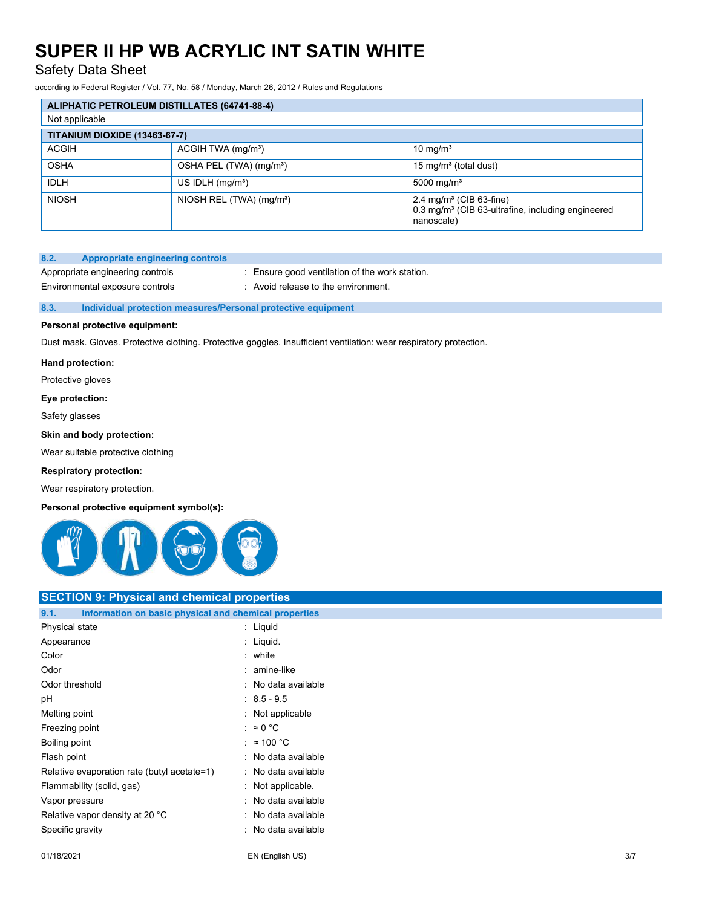Safety Data Sheet

according to Federal Register / Vol. 77, No. 58 / Monday, March 26, 2012 / Rules and Regulations

|                               | <b>ALIPHATIC PETROLEUM DISTILLATES (64741-88-4)</b> |                                                                                                                    |  |
|-------------------------------|-----------------------------------------------------|--------------------------------------------------------------------------------------------------------------------|--|
| Not applicable                |                                                     |                                                                                                                    |  |
| TITANIUM DIOXIDE (13463-67-7) |                                                     |                                                                                                                    |  |
| <b>ACGIH</b>                  | $ACGIH TWA$ (mg/m <sup>3</sup> )                    | 10 mg/ $m3$                                                                                                        |  |
| <b>OSHA</b>                   | OSHA PEL (TWA) (mg/m <sup>3</sup> )                 | 15 mg/m <sup>3</sup> (total dust)                                                                                  |  |
| <b>IDLH</b>                   | US IDLH $(mg/m3)$                                   | 5000 mg/m <sup>3</sup>                                                                                             |  |
| <b>NIOSH</b>                  | NIOSH REL (TWA) (mg/m <sup>3</sup> )                | 2.4 mg/m <sup>3</sup> (CIB 63-fine)<br>0.3 mg/m <sup>3</sup> (CIB 63-ultrafine, including engineered<br>nanoscale) |  |

# **8.2. Appropriate engineering controls**

Environmental exposure controls : Avoid release to the environment.

Appropriate engineering controls : Ensure good ventilation of the work station.

#### **8.3. Individual protection measures/Personal protective equipment**

#### **Personal protective equipment:**

Dust mask. Gloves. Protective clothing. Protective goggles. Insufficient ventilation: wear respiratory protection.

#### **Hand protection:**

Protective gloves

#### **Eye protection:**

Safety glasses

#### **Skin and body protection:**

Wear suitable protective clothing

#### **Respiratory protection:**

Wear respiratory protection.

### **Personal protective equipment symbol(s):**



# **SECTION 9: Physical and chemical properties**

| Information on basic physical and chemical properties<br>9.1. |                     |
|---------------------------------------------------------------|---------------------|
| Physical state                                                | : Liquid            |
| Appearance                                                    | : Liquid.           |
| Color                                                         | : white             |
| Odor                                                          | : amine-like        |
| Odor threshold                                                | : No data available |
| рH                                                            | $: 8.5 - 9.5$       |
| Melting point                                                 | : Not applicable    |
| Freezing point                                                | : ≈0 °C             |
| Boiling point                                                 | : $\approx$ 100 °C  |
| Flash point                                                   | : No data available |
| Relative evaporation rate (butyl acetate=1)                   | : No data available |
| Flammability (solid, gas)                                     | : Not applicable.   |
| Vapor pressure                                                | : No data available |
| Relative vapor density at 20 °C                               | : No data available |
| Specific gravity                                              | : No data available |
|                                                               |                     |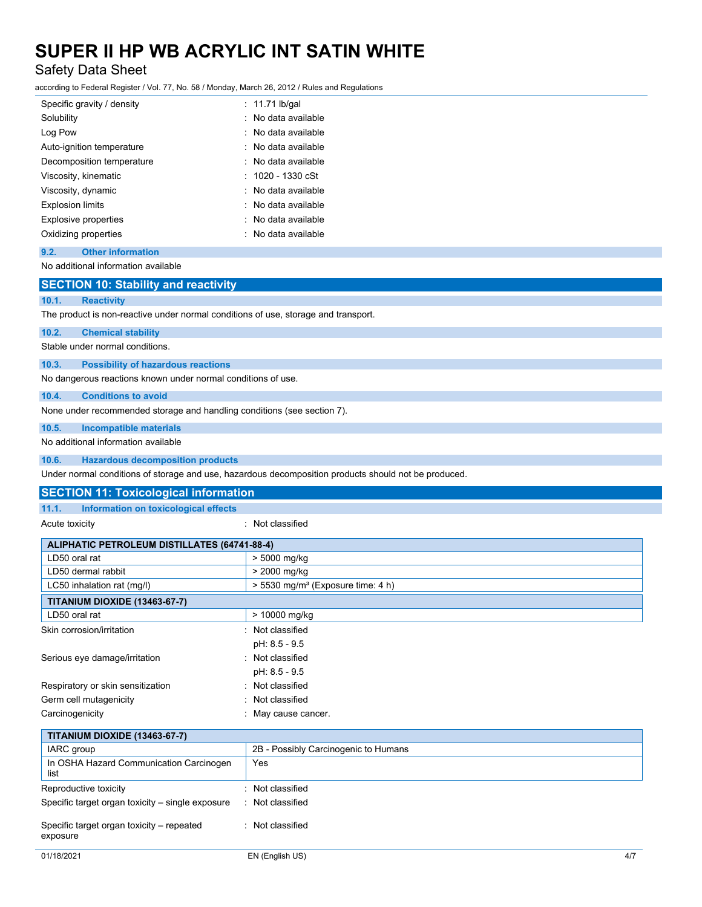Safety Data Sheet

according to Federal Register / Vol. 77, No. 58 / Monday, March 26, 2012 / Rules and Regulations

| Specific gravity / density | : 11.71 lb/gal      |
|----------------------------|---------------------|
| Solubility                 | : No data available |
| Log Pow                    | : No data available |
| Auto-ignition temperature  | : No data available |
| Decomposition temperature  | : No data available |
| Viscosity, kinematic       | $: 1020 - 1330$ cSt |
| Viscosity, dynamic         | : No data available |
| <b>Explosion limits</b>    | · No data available |
| Explosive properties       | : No data available |
| Oxidizing properties       | : No data available |

#### **9.2. Other information**

No additional information available

# **SECTION 10: Stability and reactivity**

#### **10.1. Reactivity**

The product is non-reactive under normal conditions of use, storage and transport.

#### **10.2. Chemical stability**

Stable under normal conditions.

#### **10.3. Possibility of hazardous reactions**

No dangerous reactions known under normal conditions of use.

# **10.4. Conditions to avoid**

None under recommended storage and handling conditions (see section 7).

# **10.5. Incompatible materials**

No additional information available

# **10.6. Hazardous decomposition products**

Under normal conditions of storage and use, hazardous decomposition products should not be produced.

|       | <b>SECTION 11: Toxicological information</b> |  |
|-------|----------------------------------------------|--|
| 11.1. | Information on toxicological effects         |  |

Acute toxicity **in the case of the case of the case of the case of the case of the case of the case of the case of the case of the case of the case of the case of the case of the case of the case of the case of the case of** 

| <b>ALIPHATIC PETROLEUM DISTILLATES (64741-88-4)</b>   |                                                 |
|-------------------------------------------------------|-------------------------------------------------|
| LD50 oral rat                                         | > 5000 mg/kg                                    |
| LD50 dermal rabbit                                    | > 2000 mg/kg                                    |
| LC50 inhalation rat (mg/l)                            | $> 5530$ mg/m <sup>3</sup> (Exposure time: 4 h) |
| <b>TITANIUM DIOXIDE (13463-67-7)</b>                  |                                                 |
| LD50 oral rat                                         | > 10000 mg/kg                                   |
| Skin corrosion/irritation                             | : Not classified                                |
|                                                       | pH: 8.5 - 9.5                                   |
| Serious eye damage/irritation                         | : Not classified                                |
|                                                       | pH: 8.5 - 9.5                                   |
| Respiratory or skin sensitization                     | : Not classified                                |
| Germ cell mutagenicity                                | : Not classified                                |
| Carcinogenicity                                       | : May cause cancer.                             |
| <b>TITANIUM DIOXIDE (13463-67-7)</b>                  |                                                 |
| IARC group                                            | 2B - Possibly Carcinogenic to Humans            |
| In OSHA Hazard Communication Carcinogen<br>list       | Yes                                             |
| Reproductive toxicity                                 | : Not classified                                |
| Specific target organ toxicity – single exposure      | : Not classified                                |
| Specific target organ toxicity - repeated<br>exposure | : Not classified                                |
| 01/18/2021                                            | EN (English US)<br>4/7                          |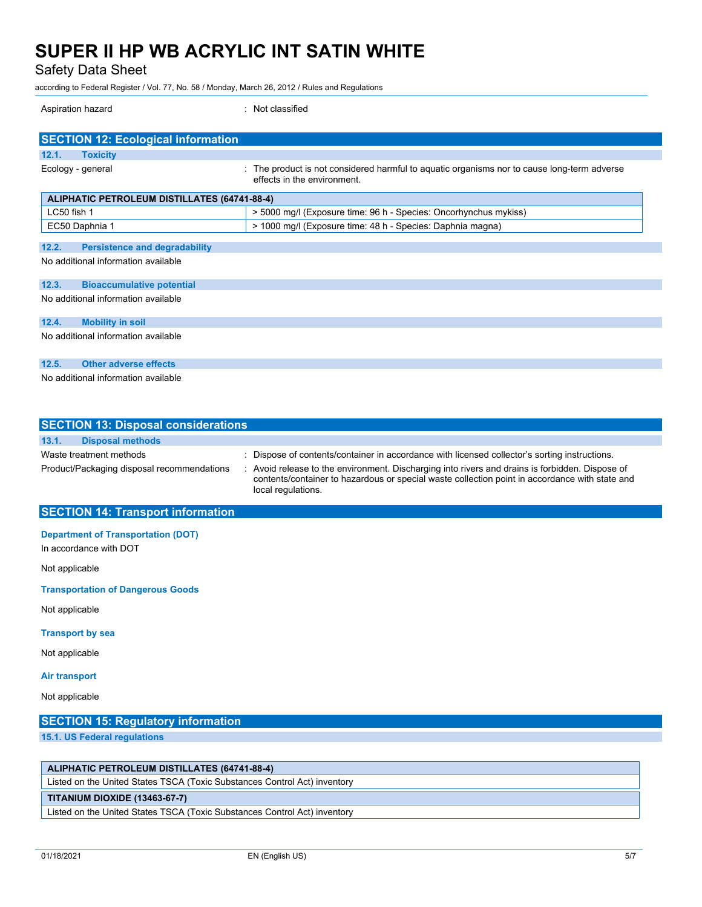Safety Data Sheet

according to Federal Register / Vol. 77, No. 58 / Monday, March 26, 2012 / Rules and Regulations

Aspiration hazard : Not classified

| <b>SECTION 12: Ecological information</b>           |                                                                                                                         |  |
|-----------------------------------------------------|-------------------------------------------------------------------------------------------------------------------------|--|
| 12.1.<br><b>Toxicity</b>                            |                                                                                                                         |  |
| Ecology - general                                   | The product is not considered harmful to aquatic organisms nor to cause long-term adverse<br>effects in the environment |  |
| <b>ALIPHATIC PETROLEUM DISTILLATES (64741-88-4)</b> |                                                                                                                         |  |
| LC50 fish 1                                         | > 5000 mg/l (Exposure time: 96 h - Species: Oncorhynchus mykiss)                                                        |  |
| EC50 Daphnia 1                                      | > 1000 mg/l (Exposure time: 48 h - Species: Daphnia magna)                                                              |  |
| 12.2.<br><b>Persistence and degradability</b>       |                                                                                                                         |  |
| No additional information available                 |                                                                                                                         |  |
| 12.3.<br><b>Bioaccumulative potential</b>           |                                                                                                                         |  |
| No additional information available                 |                                                                                                                         |  |
| 12.4.<br><b>Mobility in soil</b>                    |                                                                                                                         |  |
| No additional information available                 |                                                                                                                         |  |
| 12.5.<br><b>Other adverse effects</b>               |                                                                                                                         |  |
| No additional information available                 |                                                                                                                         |  |

| <b>SECTION 13: Disposal considerations</b>                            |                                                                                                                                                                                                                                                                                                                          |
|-----------------------------------------------------------------------|--------------------------------------------------------------------------------------------------------------------------------------------------------------------------------------------------------------------------------------------------------------------------------------------------------------------------|
| 13.1.<br><b>Disposal methods</b>                                      |                                                                                                                                                                                                                                                                                                                          |
| Waste treatment methods<br>Product/Packaging disposal recommendations | : Dispose of contents/container in accordance with licensed collector's sorting instructions.<br>: Avoid release to the environment. Discharging into rivers and drains is forbidden. Dispose of<br>contents/container to hazardous or special waste collection point in accordance with state and<br>local regulations. |

# **SECTION 14: Transport information**

# **Department of Transportation (DOT)**

In accordance with DOT

Not applicable

**Transportation of Dangerous Goods**

Not applicable

#### **Transport by sea**

Not applicable

#### **Air transport**

Not applicable

# **SECTION 15: Regulatory information**

**15.1. US Federal regulations**

## **ALIPHATIC PETROLEUM DISTILLATES (64741-88-4)**

Listed on the United States TSCA (Toxic Substances Control Act) inventory

### **TITANIUM DIOXIDE (13463-67-7)**

Listed on the United States TSCA (Toxic Substances Control Act) inventory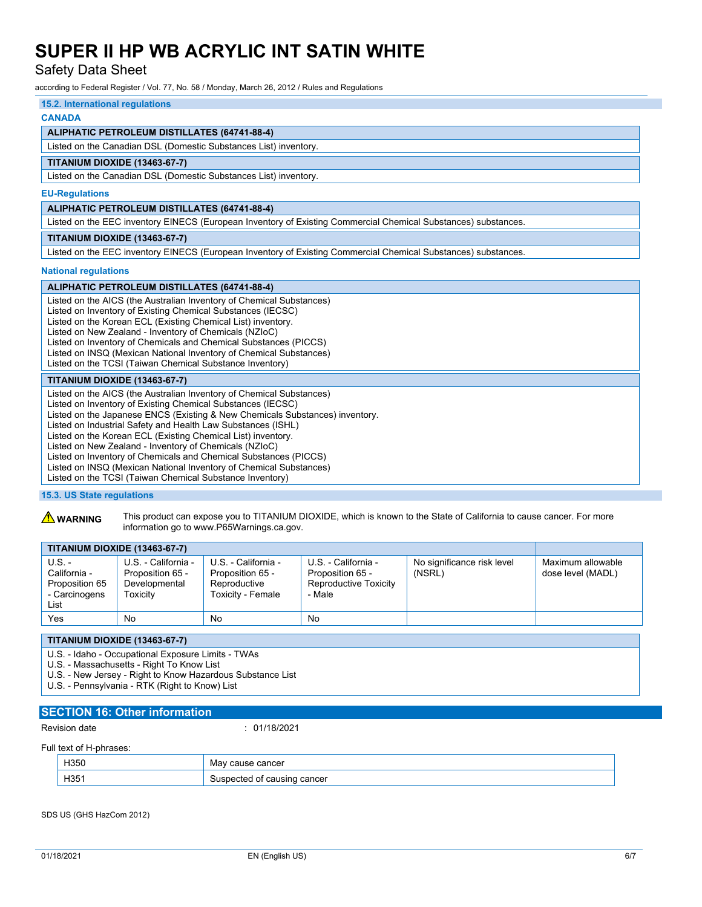Safety Data Sheet

according to Federal Register / Vol. 77, No. 58 / Monday, March 26, 2012 / Rules and Regulations

# **15.2. International regulations**

### **CANADA**

### **ALIPHATIC PETROLEUM DISTILLATES (64741-88-4)**

Listed on the Canadian DSL (Domestic Substances List) inventory.

#### **TITANIUM DIOXIDE (13463-67-7)**

Listed on the Canadian DSL (Domestic Substances List) inventory.

#### **EU-Regulations**

#### **ALIPHATIC PETROLEUM DISTILLATES (64741-88-4)**

Listed on the EEC inventory EINECS (European Inventory of Existing Commercial Chemical Substances) substances.

#### **TITANIUM DIOXIDE (13463-67-7)**

Listed on the EEC inventory EINECS (European Inventory of Existing Commercial Chemical Substances) substances.

#### **National regulations**

# **ALIPHATIC PETROLEUM DISTILLATES (64741-88-4)**

Listed on the AICS (the Australian Inventory of Chemical Substances) Listed on Inventory of Existing Chemical Substances (IECSC) Listed on the Korean ECL (Existing Chemical List) inventory. Listed on New Zealand - Inventory of Chemicals (NZIoC) Listed on Inventory of Chemicals and Chemical Substances (PICCS) Listed on INSQ (Mexican National Inventory of Chemical Substances) Listed on the TCSI (Taiwan Chemical Substance Inventory)

#### **TITANIUM DIOXIDE (13463-67-7)**

Listed on the AICS (the Australian Inventory of Chemical Substances) Listed on Inventory of Existing Chemical Substances (IECSC) Listed on the Japanese ENCS (Existing & New Chemicals Substances) inventory. Listed on Industrial Safety and Health Law Substances (ISHL) Listed on the Korean ECL (Existing Chemical List) inventory. Listed on New Zealand - Inventory of Chemicals (NZIoC) Listed on Inventory of Chemicals and Chemical Substances (PICCS) Listed on INSQ (Mexican National Inventory of Chemical Substances) Listed on the TCSI (Taiwan Chemical Substance Inventory)

#### **15.3. US State regulations**

**A WARNING** This product can expose you to TITANIUM DIOXIDE, which is known to the State of California to cause cancer. For more information go to www.P65Warnings.ca.gov.

|                                                                     | <b>TITANIUM DIOXIDE (13463-67-7)</b>                                        |                                                                              |                                                                            |                                      |                                        |
|---------------------------------------------------------------------|-----------------------------------------------------------------------------|------------------------------------------------------------------------------|----------------------------------------------------------------------------|--------------------------------------|----------------------------------------|
| $U.S. -$<br>California -<br>Proposition 65<br>- Carcinogens<br>List | U.S. - California -<br>Proposition 65 -<br>Developmental<br><b>Foxicity</b> | U.S. - California -<br>Proposition 65 -<br>Reproductive<br>Toxicity - Female | U.S. - California -<br>Proposition 65 -<br>Reproductive Toxicity<br>- Male | No significance risk level<br>(NSRL) | Maximum allowable<br>dose level (MADL) |
| Yes                                                                 | No                                                                          | No                                                                           | No                                                                         |                                      |                                        |

### **TITANIUM DIOXIDE (13463-67-7)**

U.S. - Idaho - Occupational Exposure Limits - TWAs

U.S. - Massachusetts - Right To Know List

U.S. - New Jersey - Right to Know Hazardous Substance List

U.S. - Pennsylvania - RTK (Right to Know) List

# **SECTION 16: Other information**

Revision date : 01/18/2021

#### Full text of H-phrases:

| H350                   | ---<br>.NK<br>וטכו<br>___ |
|------------------------|---------------------------|
| $\sim$<br>. .<br>י טטו | .nce<br>11                |

SDS US (GHS HazCom 2012)